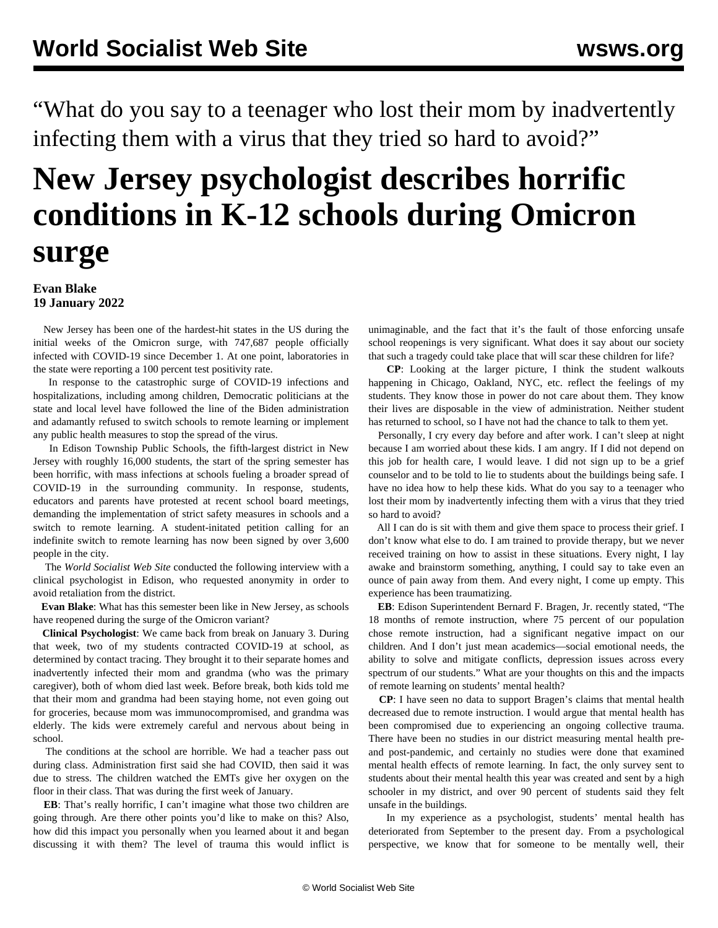"What do you say to a teenager who lost their mom by inadvertently infecting them with a virus that they tried so hard to avoid?"

## **New Jersey psychologist describes horrific conditions in K-12 schools during Omicron surge**

## **Evan Blake 19 January 2022**

 New Jersey has been one of the hardest-hit states in the US during the initial weeks of the Omicron surge, with 747,687 people officially infected with COVID-19 since December 1. At one point, laboratories in the state were reporting a 100 percent test positivity rate.

 In response to the catastrophic surge of COVID-19 infections and hospitalizations, including among children, Democratic politicians at the state and local level have followed the line of the Biden administration and adamantly refused to switch schools to remote learning or implement any public health measures to stop the spread of the virus.

 In Edison Township Public Schools, the fifth-largest district in New Jersey with roughly 16,000 students, the start of the spring semester has been horrific, with mass infections at schools fueling a broader spread of COVID-19 in the surrounding community. In response, students, educators and parents have protested at recent school board meetings, demanding the implementation of strict safety measures in schools and a switch to remote learning. A [student-initated petition](https://www.change.org/p/edison-public-schools-fully-remote-learning-im-edison-schools-indefinitely-health-crisis) calling for an indefinite switch to remote learning has now been signed by over 3,600 people in the city.

 The *World Socialist Web Site* conducted the following interview with a clinical psychologist in Edison, who requested anonymity in order to avoid retaliation from the district.

 **Evan Blake**: What has this semester been like in New Jersey, as schools have reopened during the surge of the Omicron variant?

 **Clinical Psychologist**: We came back from break on January 3. During that week, two of my students contracted COVID-19 at school, as determined by contact tracing. They brought it to their separate homes and inadvertently infected their mom and grandma (who was the primary caregiver), both of whom died last week. Before break, both kids told me that their mom and grandma had been staying home, not even going out for groceries, because mom was immunocompromised, and grandma was elderly. The kids were extremely careful and nervous about being in school.

 The conditions at the school are horrible. We had a teacher pass out during class. Administration first said she had COVID, then said it was due to stress. The children watched the EMTs give her oxygen on the floor in their class. That was during the first week of January.

 **EB**: That's really horrific, I can't imagine what those two children are going through. Are there other points you'd like to make on this? Also, how did this impact you personally when you learned about it and began discussing it with them? The level of trauma this would inflict is

unimaginable, and the fact that it's the fault of those enforcing unsafe school reopenings is very significant. What does it say about our society that such a tragedy could take place that will scar these children for life?

 **CP**: Looking at the larger picture, I think the student walkouts happening in Chicago, Oakland, NYC, etc. reflect the feelings of my students. They know those in power do not care about them. They know their lives are disposable in the view of administration. Neither student has returned to school, so I have not had the chance to talk to them yet.

 Personally, I cry every day before and after work. I can't sleep at night because I am worried about these kids. I am angry. If I did not depend on this job for health care, I would leave. I did not sign up to be a grief counselor and to be told to lie to students about the buildings being safe. I have no idea how to help these kids. What do you say to a teenager who lost their mom by inadvertently infecting them with a virus that they tried so hard to avoid?

 All I can do is sit with them and give them space to process their grief. I don't know what else to do. I am trained to provide therapy, but we never received training on how to assist in these situations. Every night, I lay awake and brainstorm something, anything, I could say to take even an ounce of pain away from them. And every night, I come up empty. This experience has been traumatizing.

 **EB**: Edison Superintendent Bernard F. Bragen, Jr. recently stated, "The 18 months of remote instruction, where 75 percent of our population chose remote instruction, had a significant negative impact on our children. And I don't just mean academics—social emotional needs, the ability to solve and mitigate conflicts, depression issues across every spectrum of our students." What are your thoughts on this and the impacts of remote learning on students' mental health?

 **CP**: I have seen no data to support Bragen's claims that mental health decreased due to remote instruction. I would argue that mental health has been compromised due to experiencing an ongoing collective trauma. There have been no studies in our district measuring mental health preand post-pandemic, and certainly no studies were done that examined mental health effects of remote learning. In fact, the only survey sent to students about their mental health this year was created and sent by a high schooler in my district, and over 90 percent of students said they felt unsafe in the buildings.

 In my experience as a psychologist, students' mental health has deteriorated from September to the present day. From a psychological perspective, we know that for someone to be mentally well, their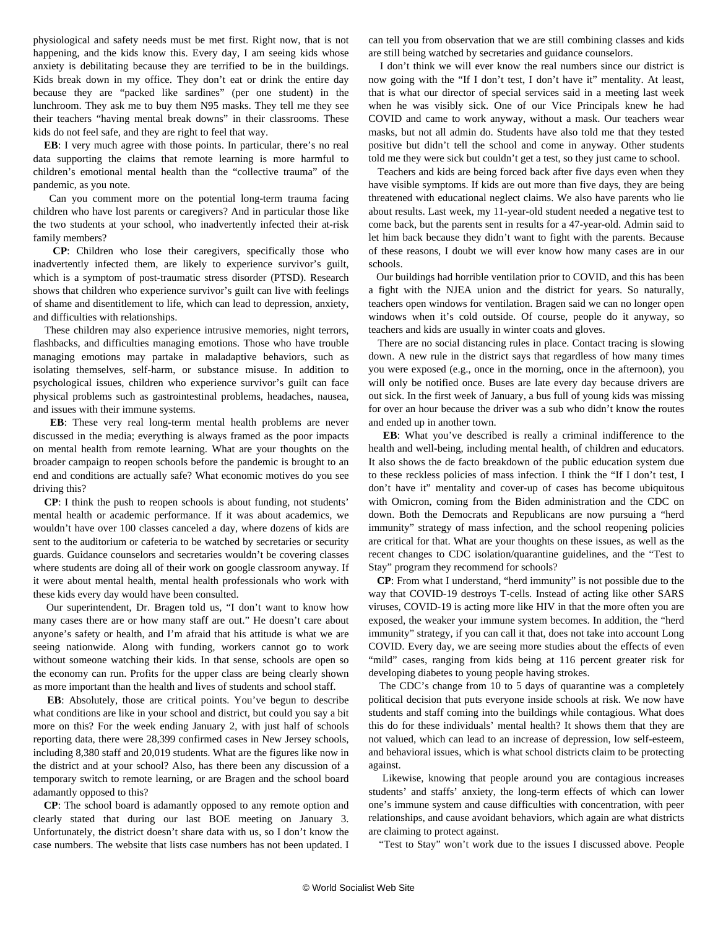physiological and safety needs must be met first. Right now, that is not happening, and the kids know this. Every day, I am seeing kids whose anxiety is debilitating because they are terrified to be in the buildings. Kids break down in my office. They don't eat or drink the entire day because they are "packed like sardines" (per one student) in the lunchroom. They ask me to buy them N95 masks. They tell me they see their teachers "having mental break downs" in their classrooms. These kids do not feel safe, and they are right to feel that way.

 **EB**: I very much agree with those points. In particular, there's no real data supporting the claims that remote learning is more harmful to children's emotional mental health than the "collective trauma" of the pandemic, as you note.

 Can you comment more on the potential long-term trauma facing children who have lost parents or caregivers? And in particular those like the two students at your school, who inadvertently infected their at-risk family members?

 **CP**: Children who lose their caregivers, specifically those who inadvertently infected them, are likely to experience survivor's guilt, which is a symptom of post-traumatic stress disorder (PTSD). Research shows that children who experience survivor's guilt can live with feelings of shame and disentitlement to life, which can lead to depression, anxiety, and difficulties with relationships.

 These children may also experience intrusive memories, night terrors, flashbacks, and difficulties managing emotions. Those who have trouble managing emotions may partake in maladaptive behaviors, such as isolating themselves, self-harm, or substance misuse. In addition to psychological issues, children who experience survivor's guilt can face physical problems such as gastrointestinal problems, headaches, nausea, and issues with their immune systems.

 **EB**: These very real long-term mental health problems are never discussed in the media; everything is always framed as the poor impacts on mental health from remote learning. What are your thoughts on the broader campaign to reopen schools before the pandemic is brought to an end and conditions are actually safe? What economic motives do you see driving this?

 **CP**: I think the push to reopen schools is about funding, not students' mental health or academic performance. If it was about academics, we wouldn't have over 100 classes canceled a day, where dozens of kids are sent to the auditorium or cafeteria to be watched by secretaries or security guards. Guidance counselors and secretaries wouldn't be covering classes where students are doing all of their work on google classroom anyway. If it were about mental health, mental health professionals who work with these kids every day would have been consulted.

 Our superintendent, Dr. Bragen told us, "I don't want to know how many cases there are or how many staff are out." He doesn't care about anyone's safety or health, and I'm afraid that his attitude is what we are seeing nationwide. Along with funding, workers cannot go to work without someone watching their kids. In that sense, schools are open so the economy can run. Profits for the upper class are being clearly shown as more important than the health and lives of students and school staff.

 **EB**: Absolutely, those are critical points. You've begun to describe what conditions are like in your school and district, but could you say a bit more on this? For the week ending January 2, with just half of schools reporting data, there were 28,399 confirmed cases in New Jersey schools, including 8,380 staff and 20,019 students. What are the figures like now in the district and at your school? Also, has there been any discussion of a temporary switch to remote learning, or are Bragen and the school board adamantly opposed to this?

 **CP**: The school board is adamantly opposed to any remote option and clearly stated that during our last BOE meeting on January 3. Unfortunately, the district doesn't share data with us, so I don't know the case numbers. The [website that lists case numbers](https://edison.k12.nj.us/administration/superintendent/welcome-back-2020-2021/covid19-statistics) has not been updated. I can tell you from observation that we are still combining classes and kids are still being watched by secretaries and guidance counselors.

 I don't think we will ever know the real numbers since our district is now going with the "If I don't test, I don't have it" mentality. At least, that is what our director of special services said in a meeting last week when he was visibly sick. One of our Vice Principals knew he had COVID and came to work anyway, without a mask. Our teachers wear masks, but not all admin do. Students have also told me that they tested positive but didn't tell the school and come in anyway. Other students told me they were sick but couldn't get a test, so they just came to school.

 Teachers and kids are being forced back after five days even when they have visible symptoms. If kids are out more than five days, they are being threatened with educational neglect claims. We also have parents who lie about results. Last week, my 11-year-old student needed a negative test to come back, but the parents sent in results for a 47-year-old. Admin said to let him back because they didn't want to fight with the parents. Because of these reasons, I doubt we will ever know how many cases are in our schools.

 Our buildings had horrible ventilation prior to COVID, and this has been a fight with the NJEA union and the district for years. So naturally, teachers open windows for ventilation. Bragen said we can no longer open windows when it's cold outside. Of course, people do it anyway, so teachers and kids are usually in winter coats and gloves.

 There are no social distancing rules in place. Contact tracing is slowing down. A new rule in the district says that regardless of how many times you were exposed (e.g., once in the morning, once in the afternoon), you will only be notified once. Buses are late every day because drivers are out sick. In the first week of January, a bus full of young kids was missing for over an hour because the driver was a sub who didn't know the routes and ended up in another town.

 **EB**: What you've described is really a criminal indifference to the health and well-being, including mental health, of children and educators. It also shows the de facto breakdown of the public education system due to these reckless policies of mass infection. I think the "If I don't test, I don't have it" mentality and cover-up of cases has become ubiquitous with Omicron, coming from the Biden administration and the CDC on down. Both the Democrats and Republicans are now pursuing a "herd immunity" strategy of mass infection, and the school reopening policies are critical for that. What are your thoughts on these issues, as well as the recent changes to CDC isolation/quarantine guidelines, and the ["Test to](/en/articles/2022/01/04/test-j04.html) [Stay" program](/en/articles/2022/01/04/test-j04.html) they recommend for schools?

 **CP**: From what I understand, "herd immunity" is not possible due to the way that COVID-19 destroys T-cells. Instead of acting like other SARS viruses, COVID-19 is acting more like HIV in that the more often you are exposed, the weaker your immune system becomes. In addition, the "herd immunity" strategy, if you can call it that, does not take into account Long COVID. Every day, we are seeing more studies about the effects of even "mild" cases, ranging from kids being at 116 percent greater risk for developing diabetes to young people having strokes.

 The CDC's change from 10 to 5 days of quarantine was a completely political decision that puts everyone inside schools at risk. We now have students and staff coming into the buildings while contagious. What does this do for these individuals' mental health? It shows them that they are not valued, which can lead to an increase of depression, low self-esteem, and behavioral issues, which is what school districts claim to be protecting against.

 Likewise, knowing that people around you are contagious increases students' and staffs' anxiety, the long-term effects of which can lower one's immune system and cause difficulties with concentration, with peer relationships, and cause avoidant behaviors, which again are what districts are claiming to protect against.

"Test to Stay" won't work due to the issues I discussed above. People